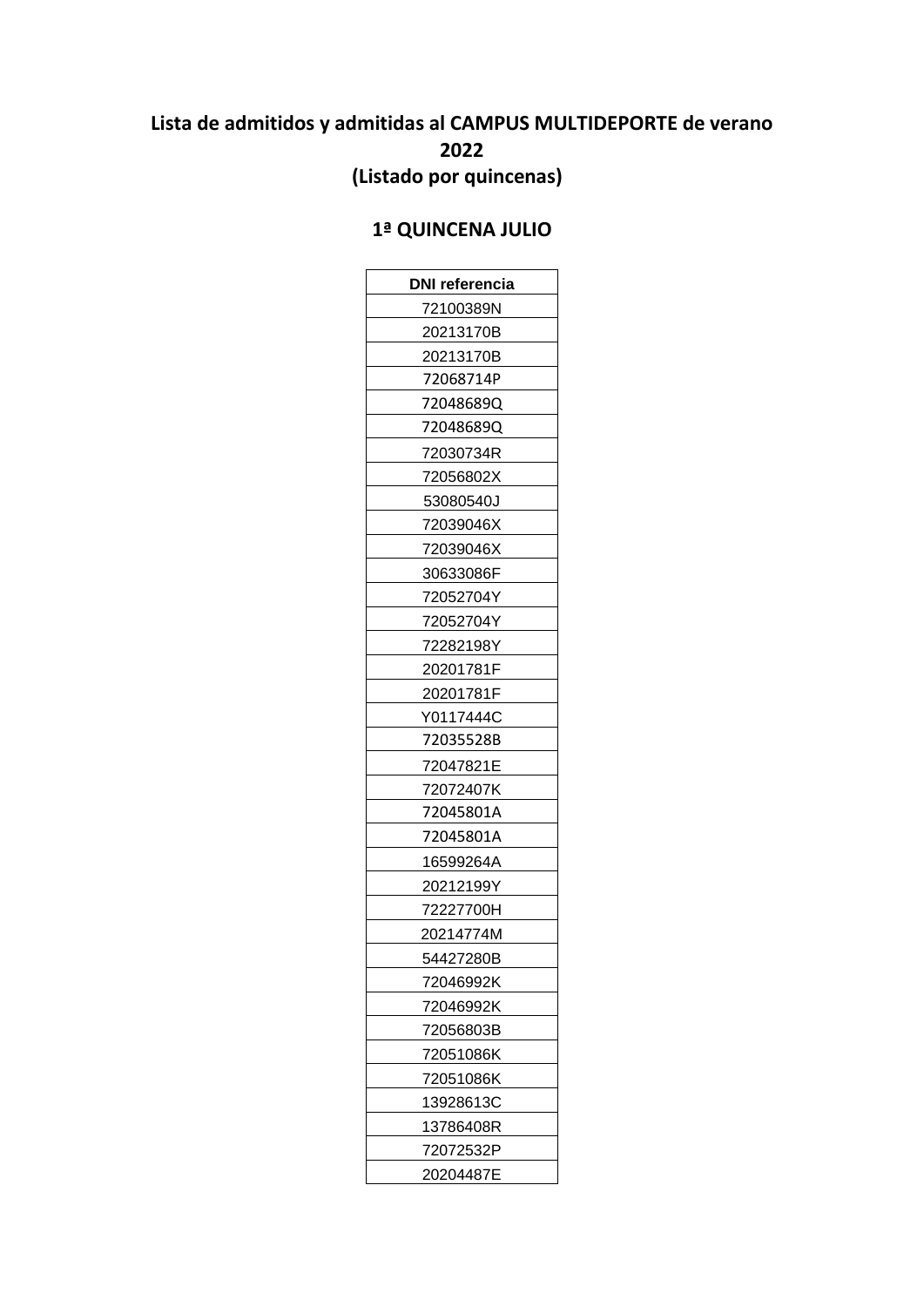# **Lista de admitidos y admitidas al CAMPUS MULTIDEPORTE de verano 2022 (Listado por quincenas)**

#### **1ª QUINCENA JULIO**

| DNI referencia |
|----------------|
| 72100389N      |
| 20213170B      |
| 20213170B      |
| 72068714P      |
| 72048689Q      |
| 72048689Q      |
| 72030734R      |
| 72056802X      |
| 53080540J      |
| 72039046X      |
| 72039046X      |
| 30633086F      |
| 72052704Y      |
| 72052704Y      |
| 72282198Y      |
| 20201781F      |
| 20201781F      |
| Y0117444C      |
| 72035528B      |
| 72047821E      |
| 72072407K      |
| 72045801A      |
| 72045801A      |
| 16599264A      |
| 20212199Y      |
| 72227700H      |
| 20214774M      |
| 54427280B      |
| 72046992K      |
| 72046992K      |
| 72056803B      |
| 72051086K      |
| 72051086K      |
| 13928613C      |
| 13786408R      |
| 72072532P      |
| 20204487E      |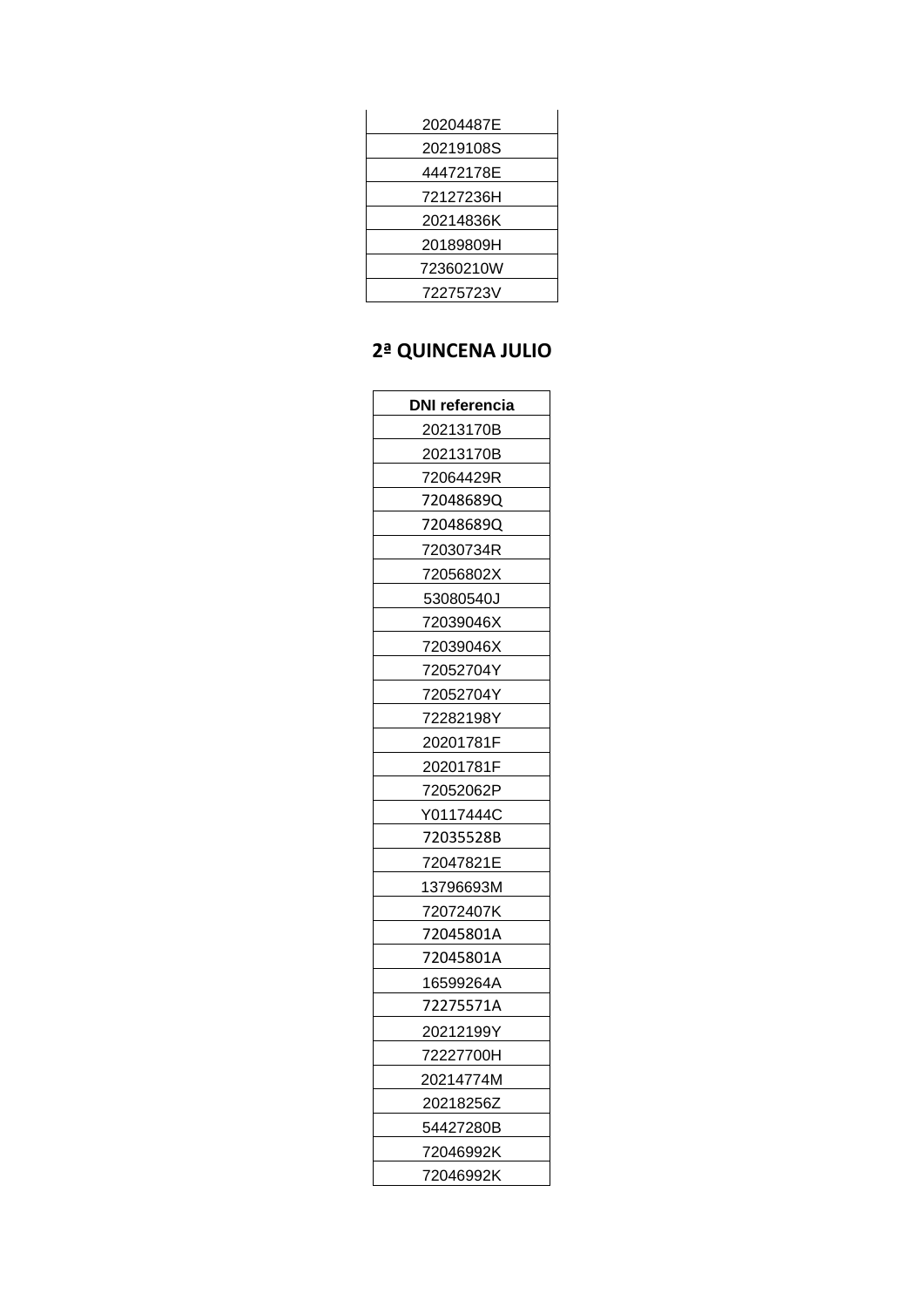| 20219108S<br>44472178E<br>72127236H<br>20214836K<br>20189809H<br>72360210W<br>72275723V | 20204487E |
|-----------------------------------------------------------------------------------------|-----------|
|                                                                                         |           |
|                                                                                         |           |
|                                                                                         |           |
|                                                                                         |           |
|                                                                                         |           |
|                                                                                         |           |
|                                                                                         |           |

## 2ª QUINCENA JULIO

| DNI referencia |
|----------------|
| 20213170B      |
| 20213170B      |
| 72064429R      |
| 72048689Q      |
| 72048689Q      |
| 72030734R      |
| 72056802X      |
| 53080540J      |
| 72039046X      |
| 72039046X      |
| 72052704Y      |
| 72052704Y      |
| 72282198Y      |
| 20201781F      |
| 20201781F      |
| 72052062P      |
| Y0117444C      |
| 72035528B      |
| 72047821E      |
| 13796693M      |
| 72072407K      |
| 72045801A      |
| 72045801A      |
| 16599264A      |
| 72275571A      |
| 20212199Y      |
| 72227700H      |
| 20214774M      |
| 20218256Z      |
| 54427280B      |
| 72046992K      |
| 72046992K      |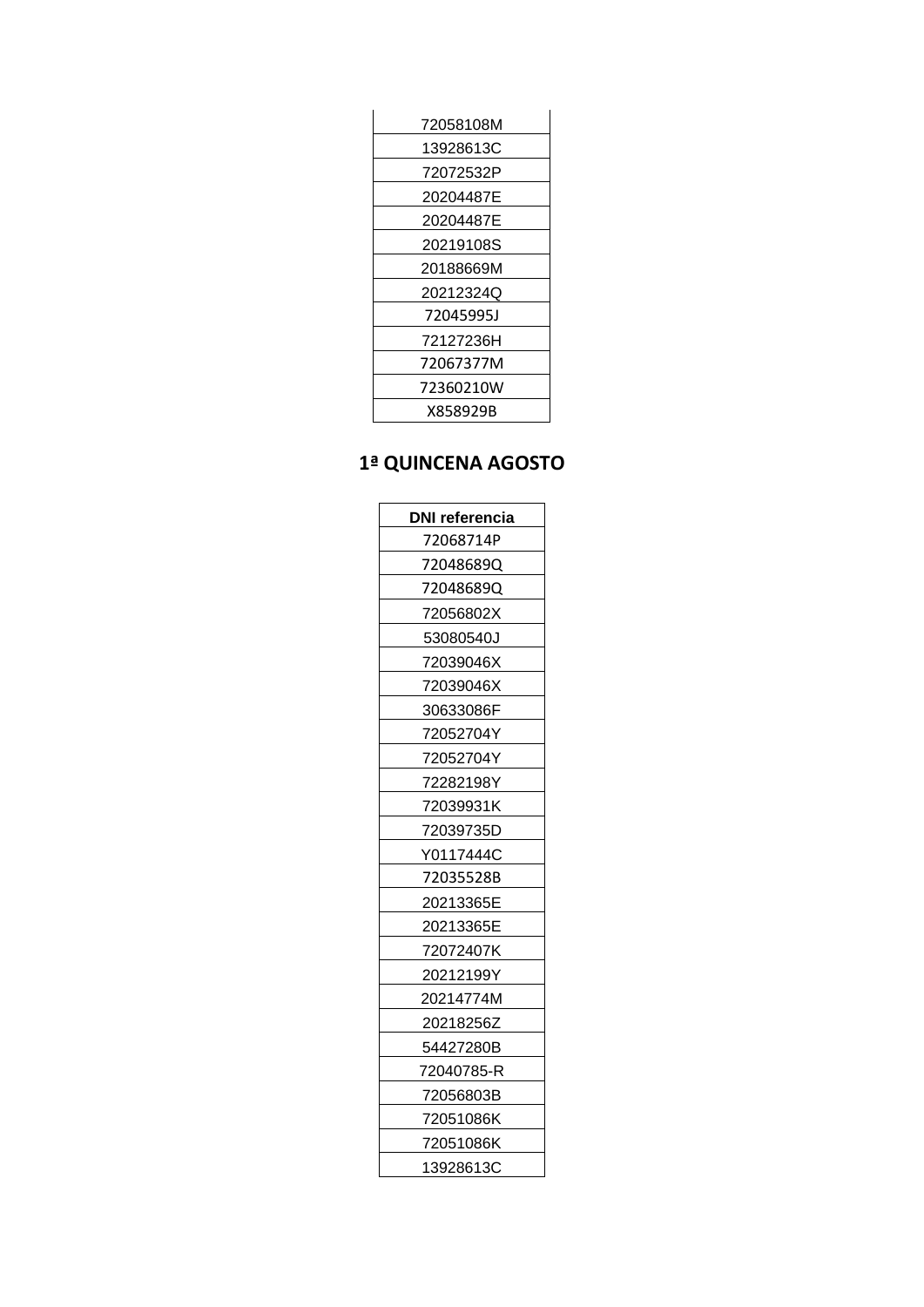| 72058108M |  |
|-----------|--|
| 13928613C |  |
| 72072532P |  |
| 20204487E |  |
| 20204487E |  |
| 20219108S |  |
| 20188669M |  |
| 20212324Q |  |
| 72045995J |  |
| 72127236H |  |
| 72067377M |  |
| 72360210W |  |
| X858929B  |  |

## **1ª QUINCENA AGOSTO**

| DNI referencia |
|----------------|
| 72068714P      |
| 72048689Q      |
| 72048689Q      |
| 72056802X      |
| 53080540J      |
| 72039046X      |
| 72039046X      |
| 30633086F      |
| 72052704Y      |
| 72052704Y      |
| 72282198Y      |
| 72039931K      |
| 72039735D      |
| Y0117444C      |
| 72035528B      |
| 20213365E      |
| 20213365E      |
| 72072407K      |
| 20212199Y      |
| 20214774M      |
| 20218256Z      |
| 54427280B      |
| 72040785-R     |
| 72056803B      |
| 72051086K      |
| 72051086K      |
| 13928613C      |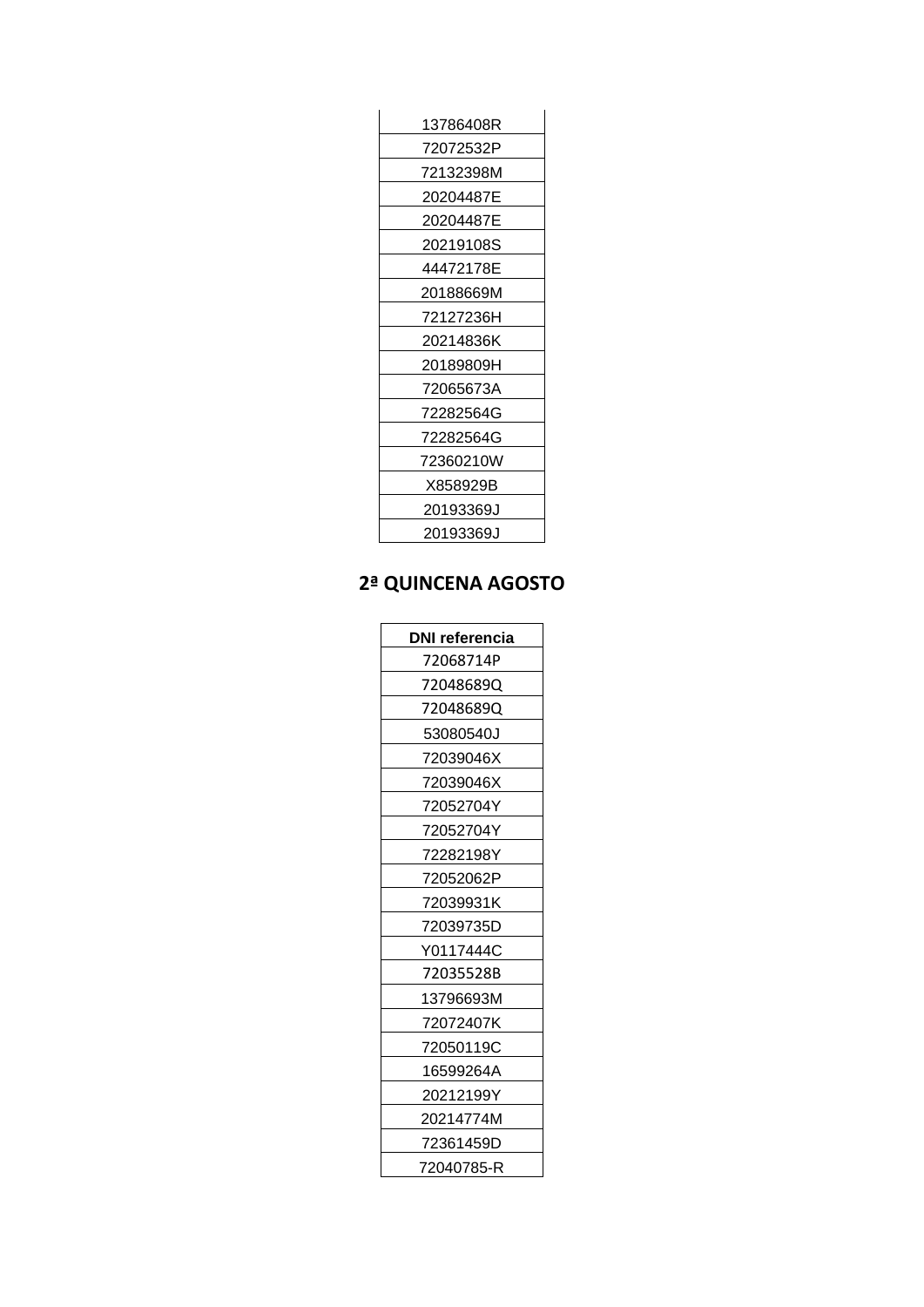| 13786408R |
|-----------|
| 72072532P |
| 72132398M |
| 20204487E |
| 20204487E |
| 20219108S |
| 44472178E |
| 20188669M |
| 72127236H |
| 20214836K |
| 20189809H |
| 72065673A |
| 72282564G |
| 72282564G |
| 72360210W |
| X858929B  |
| 20193369J |
| 20193369J |

#### 2ª QUINCENA AGOSTO

| <b>DNI referencia</b> |
|-----------------------|
| 72068714P             |
| 720486890             |
| 720486890             |
| 53080540J             |
| 72039046X             |
| 72039046X             |
| 72052704Y             |
| 72052704Y             |
| 72282198Y             |
| 72052062P             |
| 72039931K             |
| 72039735D             |
| Y0117444C             |
| 72035528B             |
| 13796693M             |
| 72072407K             |
| 72050119C             |
| 16599264A             |
| 20212199Y             |
| 20214774M             |
| 72361459D             |
| 72040785-R            |